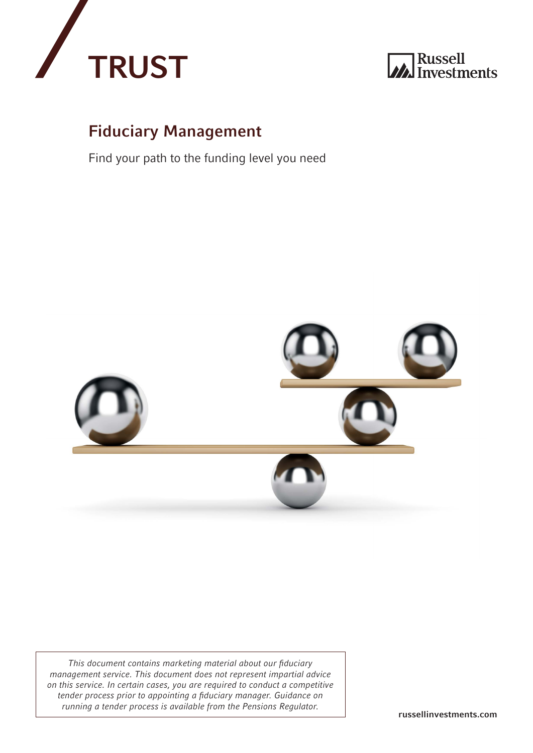



#### Fiduciary Management

Find your path to the funding level you need



*This document contains marketing material about our fiduciary management service. This document does not represent impartial advice on this service. In certain cases, you are required to conduct a competitive tender process prior to appointing a fiduciary manager. Guidance on running a tender process is available from the Pensions Regulator.* **The russellinvestments.com**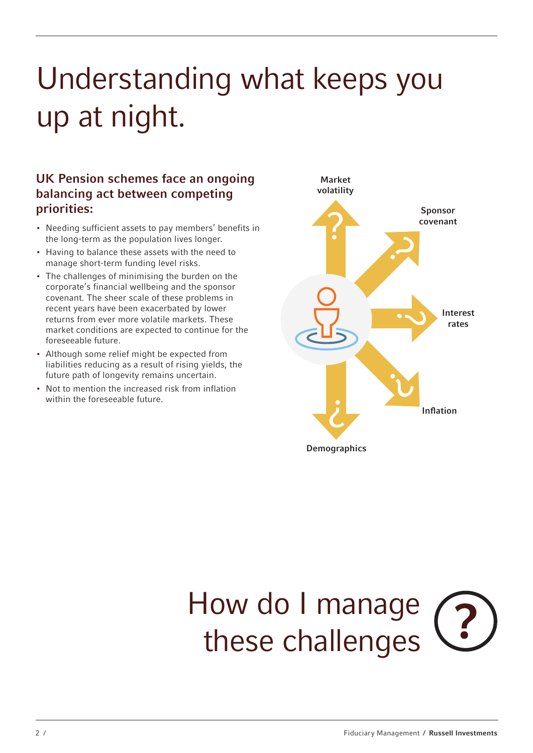## Understanding what keeps you up at night.

#### UK Pension schemes face an ongoing balancing act between competing priorities:

- Needing sufficient assets to pay members' benefits in the long-term as the population lives longer.
- Having to balance these assets with the need to manage short-term funding level risks.
- The challenges of minimising the burden on the corporate's financial wellbeing and the sponsor covenant. The sheer scale of these problems in recent years have been exacerbated by lower returns from ever more volatile markets. These market conditions are expected to continue for the foreseeable future.
- Although some relief might be expected from liabilities reducing as a result of rising yields, the future path of longevity remains uncertain.
- Not to mention the increased risk from inflation within the foreseeable future.



# How do I manage these challenges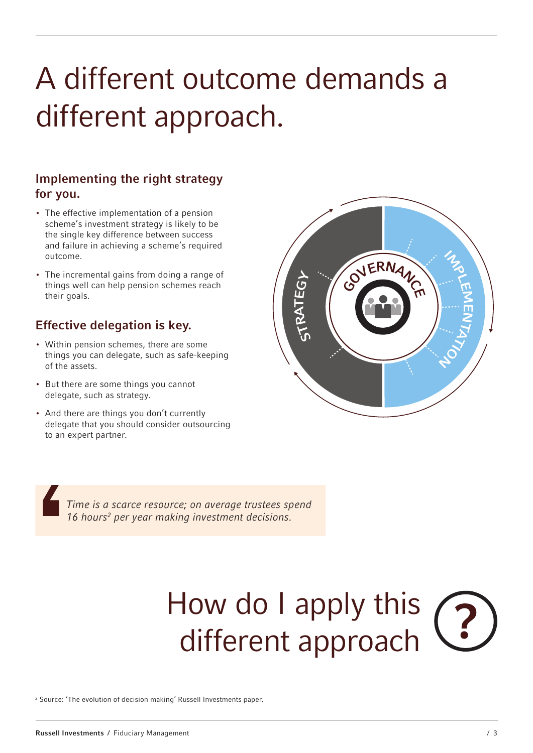### A different outcome demands a different approach.

#### Implementing the right strategy for you.

- The effective implementation of a pension scheme's investment strategy is likely to be the single key difference between success and failure in achieving a scheme's required outcome.
- The incremental gains from doing a range of things well can help pension schemes reach their goals.

#### Effective delegation is key.

- Within pension schemes, there are some things you can delegate, such as safe-keeping of the assets.
- But there are some things you cannot delegate, such as strategy.
- And there are things you don't currently delegate that you should consider outsourcing to an expert partner.



*Time is a scarce resource; on average trustees spend 16 hours2 per year making investment decisions.*

## How do I apply this different approach

2 Source: 'The evolution of decision making' Russell Investments paper.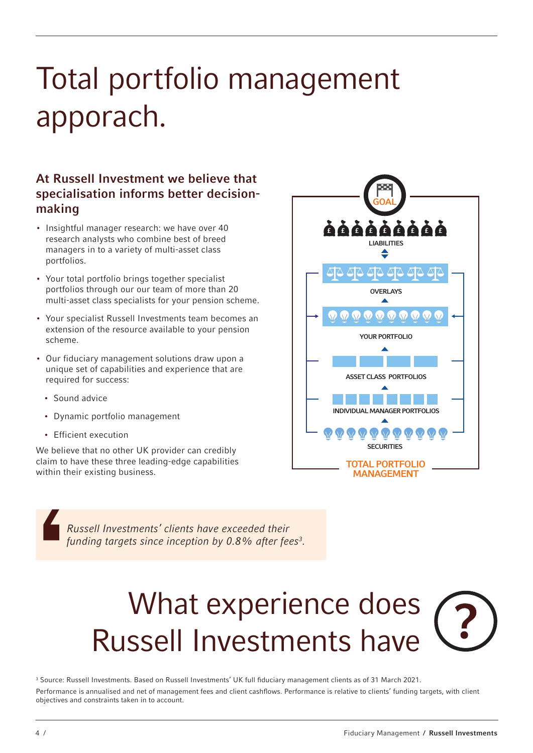### Total portfolio management apporach.

#### At Russell Investment we believe that specialisation informs better decisionmaking

- Insightful manager research: we have over 40 research analysts who combine best of breed managers in to a variety of multi-asset class portfolios.
- Your total portfolio brings together specialist portfolios through our our team of more than 20 multi-asset class specialists for your pension scheme.
- Your specialist Russell Investments team becomes an extension of the resource available to your pension scheme.
- Our fiduciary management solutions draw upon a unique set of capabilities and experience that are required for success:
	- Sound advice
	- Dynamic portfolio management
	- Efficient execution

We believe that no other UK provider can credibly claim to have these three leading-edge capabilities within their existing business.

**GOAL**  $\ddot{\bf a} \dot{\bf a} \dot{\bf a} \dot{\bf a} \dot{\bf a} \dot{\bf a}$ LIABILITIES <u>AA AA</u> OVERLAYS YOUR PORTFOLIO ASSET CLASS PORTFOLIOS INDIVIDUAL MANAGER PORTFOLIOS **SECURITIES** TOTAL PORTFOLIO MANAGEMENT

*Russell Investments' clients have exceeded their funding targets since inception by 0.8% after fees3 .*

## What experience does Russell Investments have

3 Source: Russell Investments. Based on Russell Investments' UK full fiduciary management clients as of 31 March 2021. Performance is annualised and net of management fees and client cashflows. Performance is relative to clients' funding targets, with client objectives and constraints taken in to account.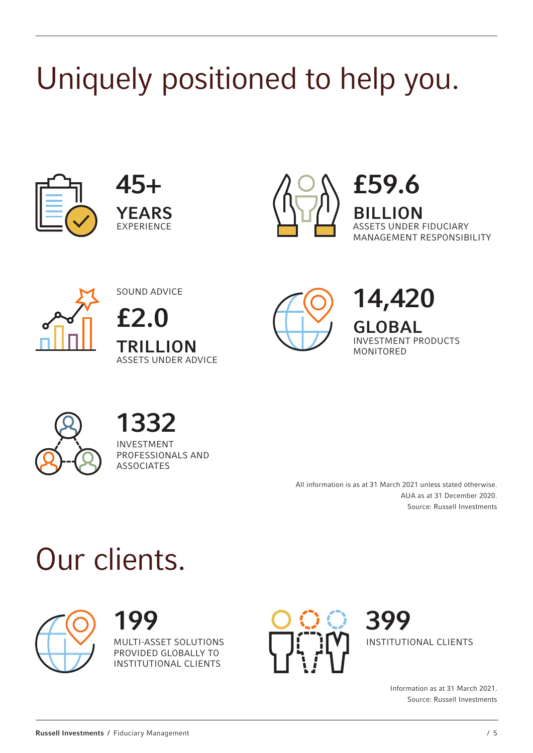# Uniquely positioned to help you.







£59.6 **LION** ASSETS UNDER FIDUCIARY MANAGEMENT RESPONSIBILITY



SOUND ADVICE £2.0 TRILLION ASSETS UNDER ADVICE



14,420 GLOBAL

INVESTMENT PRODUCTS MONITORED



1332

INVESTMENT PROFESSIONALS AND **ASSOCIATES** 

> All information is as at 31 March 2021 unless stated otherwise. AUA as at 31 December 2020. Source: Russell Investments

## Our clients.



199 MULTI-ASSET SOLUTIONS PROVIDED GLOBALLY TO INSTITUTIONAL CLIENTS



399 INSTITUTIONAL CLIENTS

> Information as at 31 March 2021. Source: Russell Investments